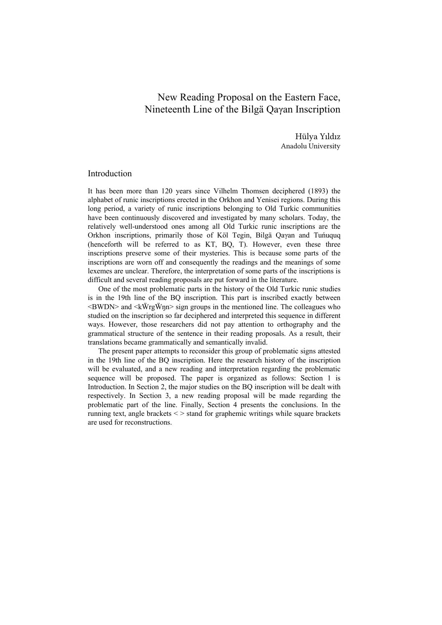## New Reading Proposal on the Eastern Face, Nineteenth Line of the Bilgä Qaγan Inscription

Hülya Yıldız Anadolu University

### Introduction

It has been more than 120 years since Vilhelm Thomsen deciphered (1893) the alphabet of runic inscriptions erected in the Orkhon and Yenisei regions. During this long period, a variety of runic inscriptions belonging to Old Turkic communities have been continuously discovered and investigated by many scholars. Today, the relatively well-understood ones among all Old Turkic runic inscriptions are the Orkhon inscriptions, primarily those of Köl Tegin, Bilgä Qaγan and Tuńuquq (henceforth will be referred to as KT, BQ, T). However, even these three inscriptions preserve some of their mysteries. This is because some parts of the inscriptions are worn off and consequently the readings and the meanings of some lexemes are unclear. Therefore, the interpretation of some parts of the inscriptions is difficult and several reading proposals are put forward in the literature.

One of the most problematic parts in the history of the Old Turkic runic studies is in the 19th line of the BQ inscription. This part is inscribed exactly between  $\leq$ BWDN> and  $\leq$ k $\ddot{W}$ rg $\ddot{W}$ n $\geq$  sign groups in the mentioned line. The colleagues who studied on the inscription so far deciphered and interpreted this sequence in different ways. However, those researchers did not pay attention to orthography and the grammatical structure of the sentence in their reading proposals. As a result, their translations became grammatically and semantically invalid.

The present paper attempts to reconsider this group of problematic signs attested in the 19th line of the BQ inscription. Here the research history of the inscription will be evaluated, and a new reading and interpretation regarding the problematic sequence will be proposed. The paper is organized as follows: Section 1 is Introduction. In Section 2, the major studies on the BQ inscription will be dealt with respectively. In Section 3, a new reading proposal will be made regarding the problematic part of the line. Finally, Section 4 presents the conclusions. In the running text, angle brackets < > stand for graphemic writings while square brackets are used for reconstructions.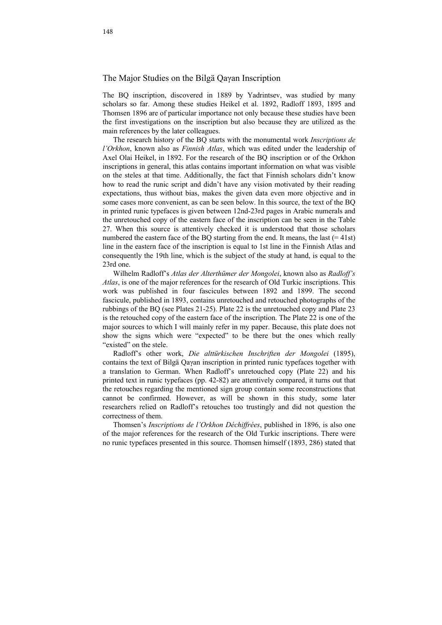### The Major Studies on the Bilgä Qaγan Inscription

The BQ inscription, discovered in 1889 by Yadrintsev, was studied by many scholars so far. Among these studies Heikel et al. 1892, Radloff 1893, 1895 and Thomsen 1896 are of particular importance not only because these studies have been the first investigations on the inscription but also because they are utilized as the main references by the later colleagues.

The research history of the BQ starts with the monumental work *Inscriptions de l'Orkhon*, known also as *Finnish Atlas*, which was edited under the leadership of Axel Olai Heikel, in 1892. For the research of the BQ inscription or of the Orkhon inscriptions in general, this atlas contains important information on what was visible on the steles at that time. Additionally, the fact that Finnish scholars didn't know how to read the runic script and didn't have any vision motivated by their reading expectations, thus without bias, makes the given data even more objective and in some cases more convenient, as can be seen below. In this source, the text of the BQ in printed runic typefaces is given between 12nd-23rd pages in Arabic numerals and the unretouched copy of the eastern face of the inscription can be seen in the Table 27. When this source is attentively checked it is understood that those scholars numbered the eastern face of the BQ starting from the end. It means, the last  $(=41st)$ line in the eastern face of the inscription is equal to 1st line in the Finnish Atlas and consequently the 19th line, which is the subject of the study at hand, is equal to the 23rd one.

Wilhelm Radloff's *Atlas der Alterthümer der Mongolei*, known also as *Radloff's Atlas*, is one of the major references for the research of Old Turkic inscriptions. This work was published in four fascicules between 1892 and 1899. The second fascicule, published in 1893, contains unretouched and retouched photographs of the rubbings of the BQ (see Plates 21-25). Plate 22 is the unretouched copy and Plate 23 is the retouched copy of the eastern face of the inscription. The Plate 22 is one of the major sources to which I will mainly refer in my paper. Because, this plate does not show the signs which were "expected" to be there but the ones which really "existed" on the stele.

Radloff's other work, *Die alttürkischen Inschriften der Mongolei* (1895), contains the text of Bilgä Qaγan inscription in printed runic typefaces together with a translation to German. When Radloff's unretouched copy (Plate 22) and his printed text in runic typefaces (pp. 42-82) are attentively compared, it turns out that the retouches regarding the mentioned sign group contain some reconstructions that cannot be confirmed. However, as will be shown in this study, some later researchers relied on Radloff's retouches too trustingly and did not question the correctness of them.

Thomsen's *Inscriptions de l'Orkhon Déchiffrées*, published in 1896, is also one of the major references for the research of the Old Turkic inscriptions. There were no runic typefaces presented in this source. Thomsen himself (1893, 286) stated that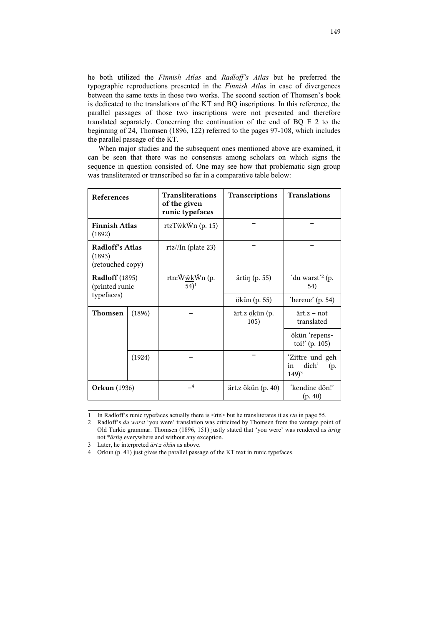he both utilized the *Finnish Atlas* and *Radloff's Atlas* but he preferred the typographic reproductions presented in the *Finnish Atlas* in case of divergences between the same texts in those two works. The second section of Thomsen's book is dedicated to the translations of the KT and BQ inscriptions. In this reference, the parallel passages of those two inscriptions were not presented and therefore translated separately. Concerning the continuation of the end of BQ E 2 to the beginning of 24, Thomsen (1896, 122) referred to the pages 97-108, which includes the parallel passage of the KT.

When major studies and the subsequent ones mentioned above are examined, it can be seen that there was no consensus among scholars on which signs the sequence in question consisted of. One may see how that problematic sign group was transliterated or transcribed so far in a comparative table below:

| References                                            |        | <b>Transliterations</b><br>of the given<br>runic typefaces | Transcriptions                 | <b>Translations</b>                                |
|-------------------------------------------------------|--------|------------------------------------------------------------|--------------------------------|----------------------------------------------------|
| <b>Finnish Atlas</b><br>(1892)                        |        | rtzT <u>wk</u> Wn (p. 15)                                  |                                |                                                    |
| Radloff's Atlas<br>(1893)<br>(retouched copy)         |        | $rtz/$ In (plate 23)                                       |                                |                                                    |
| <b>Radloff</b> (1895)<br>(printed runic<br>typefaces) |        | rtn:W <u>wk</u> Wn (p.<br>$(54)^1$                         | ärtin (p. 55)                  | 'du warst' <sup>2</sup> (p.<br>54)                 |
|                                                       |        |                                                            | ökün (p. 55)                   | 'bereue' $(p. 54)$                                 |
| Thomsen                                               | (1896) |                                                            | ärt.z <u>ök</u> ün (p.<br>105) | $\arct{2}$ - not<br>translated                     |
|                                                       |        |                                                            |                                | ökün 'repens-<br>toi!' (p. 105)                    |
|                                                       | (1924) |                                                            |                                | 'Zittre und geh<br>dich'<br>(p.<br>in<br>$(149)^3$ |
| <b>Orkun</b> (1936)                                   |        | $\overline{4}$                                             | ärt.z ö <u>kü</u> n (p. 40)    | 'kendine dön!'<br>(p. 40)                          |

<sup>1</sup> In Radloff's runic typefaces actually there is <rtn> but he transliterates it as *rtṇ* in page 55.

<sup>2</sup> Radloff's *du warst* 'you were' translation was criticized by Thomsen from the vantage point of Old Turkic grammar. Thomsen (1896, 151) justly stated that 'you were' was rendered as *ärtig* not \**ärtiŋ* everywhere and without any exception.

<sup>3</sup> Later, he interpreted *ärt.z ökün* as above.

<sup>4</sup> Orkun (p. 41) just gives the parallel passage of the KT text in runic typefaces.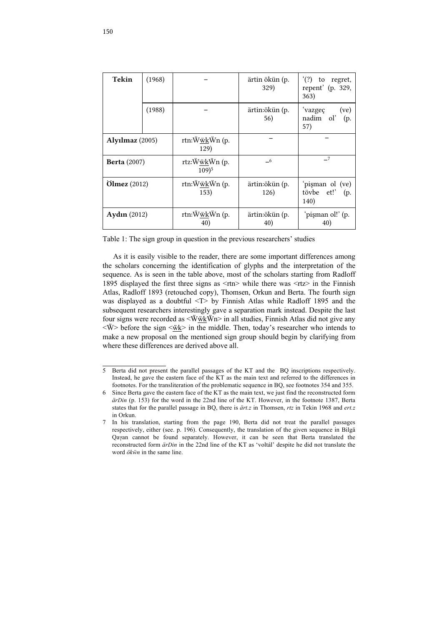| Tekin               | (1968) |                                      | ärtin ökün (p.<br>329) | (?) to regret,<br>repent' (p. 329,<br>363)              |
|---------------------|--------|--------------------------------------|------------------------|---------------------------------------------------------|
|                     | (1988) |                                      | ärtin:ökün (p.<br>56)  | 'vazgeç<br>(v <sub>e</sub> )<br>nadim ol'<br>(p.<br>57) |
| Alyılmaz $(2005)$   |        | rtn:W <u>wk</u> Wn (p.<br>129)       |                        |                                                         |
| <b>Berta</b> (2007) |        | rtz: WwkWn (p.<br>$109$ <sup>5</sup> | $-6$                   | 7                                                       |
| $O$ lmez $(2012)$   |        | rtn:W <u>wk</u> Wn (p.<br>153)       | ärtin:ökün (p.<br>126) | pişman ol (ve)<br>tövbe et!' (p.<br>140)                |
| <b>Aydın</b> (2012) |        | rtn:W <u>wk</u> Wn (p.<br>40)        | ärtin:ökün (p.<br>40)  | 'pişman ol!' (p.<br>40)                                 |

Table 1: The sign group in question in the previous researchers' studies

As it is easily visible to the reader, there are some important differences among the scholars concerning the identification of glyphs and the interpretation of the sequence. As is seen in the table above, most of the scholars starting from Radloff 1895 displayed the first three signs as  $\langle \text{trn} \rangle$  while there was  $\langle \text{trz} \rangle$  in the Finnish Atlas, Radloff 1893 (retouched copy), Thomsen, Orkun and Berta. The fourth sign was displayed as a doubtful  $\langle T \rangle$  by Finnish Atlas while Radloff 1895 and the subsequent researchers interestingly gave a separation mark instead. Despite the last four signs were recorded as  $\langle \ddot{W} \ddot{w} \ddot{w} \dot{w} \rangle$  in all studies, Finnish Atlas did not give any  $\langle \ddot{W} \rangle$  before the sign  $\langle \ddot{w} \cdot \ddot{k} \rangle$  in the middle. Then, today's researcher who intends to make a new proposal on the mentioned sign group should begin by clarifying from where these differences are derived above all.

<sup>5</sup> Berta did not present the parallel passages of the KT and the BQ inscriptions respectively. Instead, he gave the eastern face of the KT as the main text and referred to the differences in footnotes. For the transliteration of the problematic sequence in BQ, see footnotes 354 and 355.

<sup>6</sup> Since Berta gave the eastern face of the KT as the main text, we just find the reconstructed form *ärDin* (p. 153) for the word in the 22nd line of the KT. However, in the footnote 1387, Berta states that for the parallel passage in BQ, there is *ärt.z* in Thomsen, *rtz* in Tekin 1968 and *ert.z* in Orkun.

<sup>7</sup> In his translation, starting from the page 190, Berta did not treat the parallel passages respectively, either (see. p. 196). Consequently, the translation of the given sequence in Bilgä Qaγan cannot be found separately. However, it can be seen that Berta translated the reconstructed form *ärDin* in the 22nd line of the KT as 'voltál' despite he did not translate the word *ökẅn* in the same line.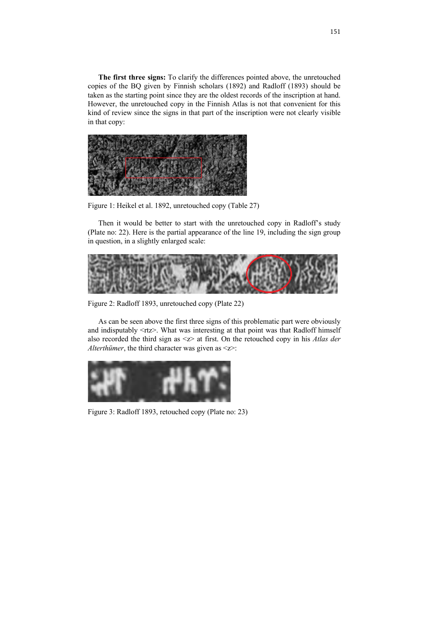**The first three signs:** To clarify the differences pointed above, the unretouched copies of the BQ given by Finnish scholars (1892) and Radloff (1893) should be taken as the starting point since they are the oldest records of the inscription at hand. However, the unretouched copy in the Finnish Atlas is not that convenient for this kind of review since the signs in that part of the inscription were not clearly visible in that copy:



Figure 1: Heikel et al. 1892, unretouched copy (Table 27)

Then it would be better to start with the unretouched copy in Radloff's study (Plate no: 22). Here is the partial appearance of the line 19, including the sign group in question, in a slightly enlarged scale:



Figure 2: Radloff 1893, unretouched copy (Plate 22)

As can be seen above the first three signs of this problematic part were obviously and indisputably <rtz>. What was interesting at that point was that Radloff himself also recorded the third sign as <z> at first. On the retouched copy in his *Atlas der Alterthümer*, the third character was given as <z>:



Figure 3: Radloff 1893, retouched copy (Plate no: 23)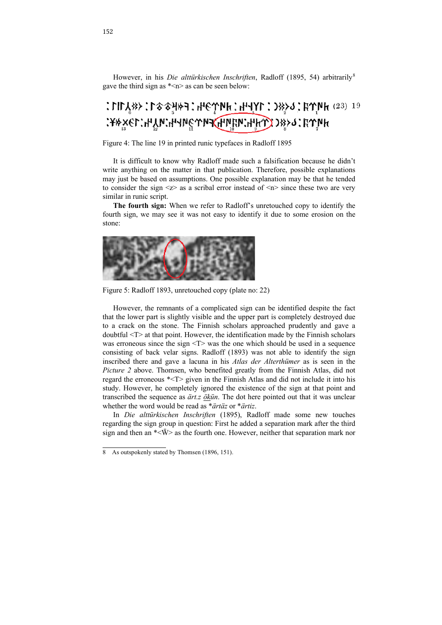However, in his *Die alttürkischen Inschriften*, Radloff (1895, 54) arbitrarily<sup>8</sup> gave the third sign as  $*\leq n$  as can be seen below:

# : LILŸ»> :L\$\$Ä&± : H&JJNF : HĂÄL : D\$Å? : BJJNF (53) 10 <sub></sub>ниุ́тя∶ь≺҉«ССТА¦н:ия¦ињуғит∕ анн.и. и. 13-‰\*\*

Figure 4: The line 19 in printed runic typefaces in Radloff 1895

It is difficult to know why Radloff made such a falsification because he didn't write anything on the matter in that publication. Therefore, possible explanations may just be based on assumptions. One possible explanation may be that he tended to consider the sign  $\langle z \rangle$  as a scribal error instead of  $\langle n \rangle$  since these two are very similar in runic script.

**The fourth sign:** When we refer to Radloff's unretouched copy to identify the fourth sign, we may see it was not easy to identify it due to some erosion on the stone:



Figure 5: Radloff 1893, unretouched copy (plate no: 22)

However, the remnants of a complicated sign can be identified despite the fact that the lower part is slightly visible and the upper part is completely destroyed due to a crack on the stone. The Finnish scholars approached prudently and gave a doubtful <T> at that point. However, the identification made by the Finnish scholars was erroneous since the sign <T> was the one which should be used in a sequence consisting of back velar signs. Radloff (1893) was not able to identify the sign inscribed there and gave a lacuna in his *Atlas der Alterthümer* as is seen in the *Picture 2* above. Thomsen, who benefited greatly from the Finnish Atlas, did not regard the erroneous \*<T> given in the Finnish Atlas and did not include it into his study. However, he completely ignored the existence of the sign at that point and transcribed the sequence as *ärt.z ökün*. The dot here pointed out that it was unclear whether the word would be read as \**ärtäz* or \**ärtiz*.

In *Die alttürkischen Inschriften* (1895), Radloff made some new touches regarding the sign group in question: First he added a separation mark after the third sign and then an  $*<\!\widetilde{W}\!\!>$  as the fourth one. However, neither that separation mark nor

<sup>8</sup> As outspokenly stated by Thomsen (1896, 151).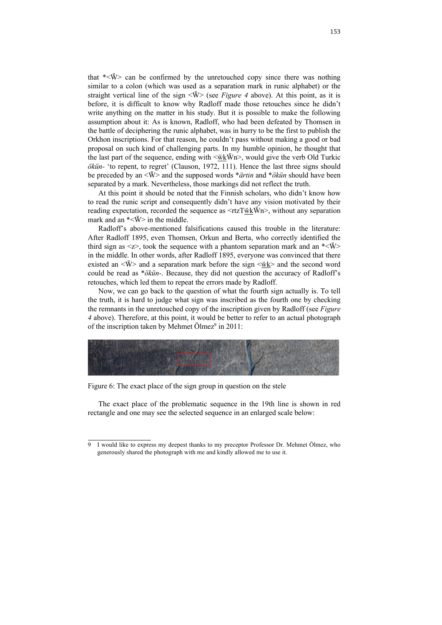that  $*<\!\vec{W}$  can be confirmed by the unretouched copy since there was nothing similar to a colon (which was used as a separation mark in runic alphabet) or the straight vertical line of the sign  $\langle \ddot{W} \rangle$  (see *Figure 4* above). At this point, as it is before, it is difficult to know why Radloff made those retouches since he didn't write anything on the matter in his study. But it is possible to make the following assumption about it: As is known, Radloff, who had been defeated by Thomsen in the battle of deciphering the runic alphabet, was in hurry to be the first to publish the Orkhon inscriptions. For that reason, he couldn't pass without making a good or bad proposal on such kind of challenging parts. In my humble opinion, he thought that the last part of the sequence, ending with  $\langle \ddot{w} \cdot \ddot{w} \cdot \ddot{w} \rangle$ , would give the verb Old Turkic *ökün-* 'to repent, to regret' (Clauson, 1972, 111). Hence the last three signs should be preceded by an <Ẅ> and the supposed words \**ärtin* and \**ökün* should have been separated by a mark. Nevertheless, those markings did not reflect the truth.

At this point it should be noted that the Finnish scholars, who didn't know how to read the runic script and consequently didn't have any vision motivated by their reading expectation, recorded the sequence as  $\leq$ rtzT $\ddot{w}$ k $\ddot{W}$ n $>$ , without any separation mark and an  $\overline{*}$  <  $\ddot{W}$  in the middle.

Radloff's above-mentioned falsifications caused this trouble in the literature: After Radloff 1895, even Thomsen, Orkun and Berta, who correctly identified the third sign as  $\langle z \rangle$ , took the sequence with a phantom separation mark and an  $\langle \bar{w} \rangle$ in the middle. In other words, after Radloff 1895, everyone was convinced that there existed an  $\langle \ddot{W} \rangle$  and a separation mark before the sign  $\langle \ddot{w} \times \ddot{w} \rangle$  and the second word could be read as \**ökün-*. Because, they did not question the accuracy of Radloff's retouches, which led them to repeat the errors made by Radloff.

Now, we can go back to the question of what the fourth sign actually is. To tell the truth, it is hard to judge what sign was inscribed as the fourth one by checking the remnants in the unretouched copy of the inscription given by Radloff (see *Figure 4* above). Therefore, at this point, it would be better to refer to an actual photograph of the inscription taken by Mehmet Ölmez<sup>9</sup> in 2011:



Figure 6: The exact place of the sign group in question on the stele

The exact place of the problematic sequence in the 19th line is shown in red rectangle and one may see the selected sequence in an enlarged scale below:

<sup>9</sup> I would like to express my deepest thanks to my preceptor Professor Dr. Mehmet Ölmez, who generously shared the photograph with me and kindly allowed me to use it.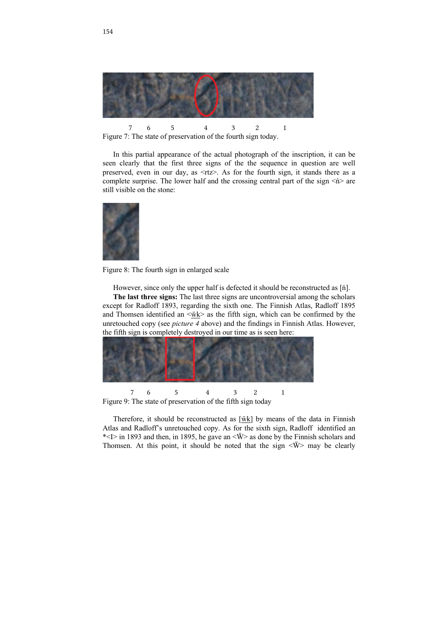

Figure 7: The state of preservation of the fourth sign today.

In this partial appearance of the actual photograph of the inscription, it can be seen clearly that the first three signs of the the sequence in question are well preserved, even in our day, as <rtz>. As for the fourth sign, it stands there as a complete surprise. The lower half and the crossing central part of the sign  $\leq n$  are still visible on the stone:



Figure 8: The fourth sign in enlarged scale

However, since only the upper half is defected it should be reconstructed as [ń].

**The last three signs:** The last three signs are uncontroversial among the scholars except for Radloff 1893, regarding the sixth one. The Finnish Atlas, Radloff 1895 and Thomsen identified an  $\langle \frac{w}{k} \rangle$  as the fifth sign, which can be confirmed by the unretouched copy (see *picture 4* above) and the findings in Finnish Atlas. However, the fifth sign is completely destroyed in our time as is seen here:



Figure 9: The state of preservation of the fifth sign today

Therefore, it should be reconstructed as  $[\n\mathbf{w}\n$ k by means of the data in Finnish Atlas and Radloff's unretouched copy. As for the sixth sign, Radloff identified an \* $\le$ I> in 1893 and then, in 1895, he gave an  $\le$ W> as done by the Finnish scholars and Thomsen. At this point, it should be noted that the sign  $\langle \ddot{W} \rangle$  may be clearly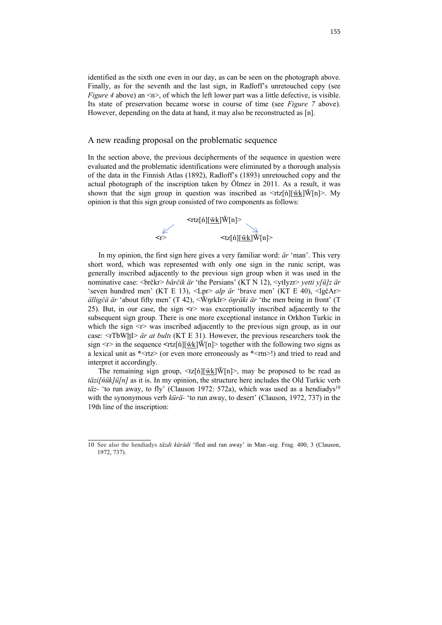identified as the sixth one even in our day, as can be seen on the photograph above. Finally, as for the seventh and the last sign, in Radloff's unretouched copy (see *Figure* 4 above) an  $\leq n$ , of which the left lower part was a little defective, is visible. Its state of preservation became worse in course of time (see *Figure 7* above). However, depending on the data at hand, it may also be reconstructed as [n].

### A new reading proposal on the problematic sequence

In the section above, the previous decipherments of the sequence in question were evaluated and the problematic identifications were eliminated by a thorough analysis of the data in the Finnish Atlas (1892), Radloff's (1893) unretouched copy and the actual photograph of the inscription taken by Ölmez in 2011. As a result, it was shown that the sign group in question was inscribed as  $\leq$ rtz[ń][wk] $\ddot{W}$ [n]>. My opinion is that this sign group consisted of two components as follows:



In my opinion, the first sign here gives a very familiar word: *är* 'man'. This very short word, which was represented with only one sign in the runic script, was generally inscribed adjacently to the previous sign group when it was used in the nominative case: <brčkr> *bärčik är* 'the Persians' (KT N 12), <ytIyzr> *yetti y[ü]z är* 'seven hundred men' (KT E 13), <Lpr> *alp är* 'brave men' (KT E 40), <lgčAr> *älligčä är* 'about fifty men' (T 42), <ẄŋrkIr> *öŋräki är* 'the men being in front' (T 25). But, in our case, the sign **<**r> was exceptionally inscribed adjacently to the subsequent sign group. There is one more exceptional instance in Orkhon Turkic in which the sign  $\langle r \rangle$  was inscribed adjacently to the previous sign group, as in our case: <rTbWltI> *är at bultı* (KT E 31). However, the previous researchers took the sign <r> in the sequence <rtz[ń][<u>wk</u>]W[n]> together with the following two signs as a lexical unit as \*<rtz> (or even more erroneously as \*<rtn>!) and tried to read and interpret it accordingly.

The remaining sign group,  $\langle t z[\hat{n}] [\hat{w}k] \hat{W}[n] \rangle$ , may be proposed to be read as  $t\ddot{a}z\dot{i}/\dot{n}\ddot{k}/\dot{u}/n$  as it is. In my opinion, the structure here includes the Old Turkic verb *täz*- 'to run away, to fly' (Clauson 1972: 572a), which was used as a hendiadys<sup>10</sup> with the synonymous verb *kürä-* 'to run away, to desert' (Clauson, 1972, 737) in the 19th line of the inscription:

<sup>10</sup> See also the hendiadys *täzdi kürädi* 'fled and ran away' in Man.-uig. Frag. 400, 3 (Clauson, 1972, 737).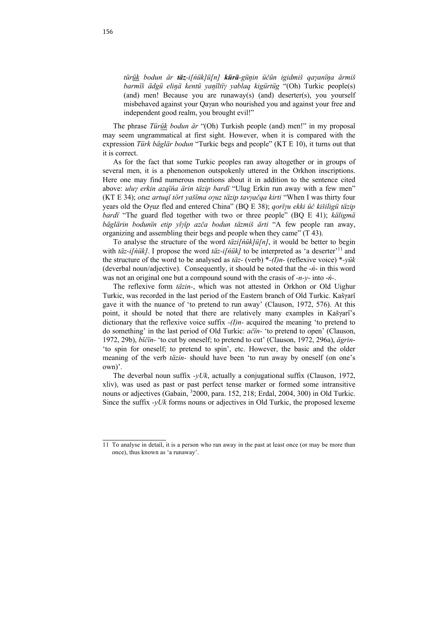*türük bodun är täz-i[ńük]ü[n] kürä-güŋin üčün igidmiš qaγanïŋa ärmiš barmïš ädgü eliŋä kentü yaŋïltïγ yablaq kigürtüg* "(Oh) Turkic people(s) (and) men! Because you are runaway(s) (and) deserter(s), you yourself misbehaved against your Qaγan who nourished you and against your free and independent good realm, you brought evil!"

The phrase *Türük bodun är* "(Oh) Turkish people (and) men!" in my proposal may seem ungrammatical at first sight. However, when it is compared with the expression *Türk bäglär bodun* "Turkic begs and people" (KT E 10), it turns out that it is correct.

As for the fact that some Turkic peoples ran away altogether or in groups of several men, it is a phenomenon outspokenly uttered in the Orkhon inscriptions. Here one may find numerous mentions about it in addition to the sentence cited above: *uluγ erkin azqïńa ärin täzip bardï* "Ulug Erkin run away with a few men" (KT E 34); *otuz artuqï tört yašïma oγuz täzip tavγačqa kirti* "When I was thirty four years old the Oγuz fled and entered China" (BQ E 38); *qorïγu ekki üč kišiligü täzip bardï* "The guard fled together with two or three people" (BQ E 41); *käligmä bäglärin bodunïn etip yïγïp azča bodun täzmiš ärti* "A few people ran away, organizing and assembling their begs and people when they came" (T 43).

To analyse the structure of the word *täzi[ńük]ü[n]*, it would be better to begin with *täz-i*[*ńük*]. I propose the word *täz-i*[*ńük*] to be interpreted as 'a deserter'<sup>11</sup> and the structure of the word to be analysed as *täz*- (verb) \**-(I)n-* (reflexive voice) \**-yük* (deverbal noun/adjective). Consequently, it should be noted that the -*ń*- in this word was not an original one but a compound sound with the crasis of *-n-y-* into -*ń-*.

The reflexive form *täzin-*, which was not attested in Orkhon or Old Uighur Turkic, was recorded in the last period of the Eastern branch of Old Turkic. Kašγarî gave it with the nuance of 'to pretend to run away' (Clauson, 1972, 576). At this point, it should be noted that there are relatively many examples in Kašγarî's dictionary that the reflexive voice suffix *-(I)n-* acquired the meaning 'to pretend to do something' in the last period of Old Turkic: *ačïn-* 'to pretend to open' (Clauson, 1972, 29b), *bïčïn-* 'to cut by oneself; to pretend to cut' (Clauson, 1972, 296a), *ägrin*- 'to spin for oneself; to pretend to spin', etc. However, the basic and the older meaning of the verb *täzin-* should have been 'to run away by oneself (on one's own)'.

The deverbal noun suffix *-yUk*, actually a conjugational suffix (Clauson, 1972, xliv), was used as past or past perfect tense marker or formed some intransitive nouns or adjectives (Gabain, <sup>3</sup>2000, para. 152, 218; Erdal, 2004, 300) in Old Turkic. Since the suffix *-yUk* forms nouns or adjectives in Old Turkic, the proposed lexeme

<sup>11</sup> To analyse in detail, it is a person who ran away in the past at least once (or may be more than once), thus known as 'a runaway'.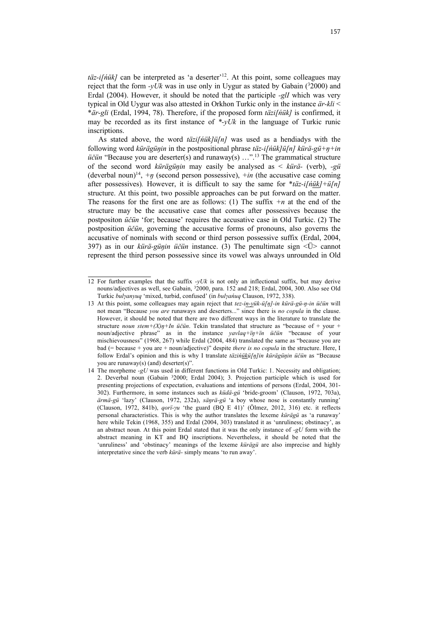*täz-i[ńük]* can be interpreted as 'a deserter' 12. At this point, some colleagues may reject that the form  $-yUk$  was in use only in Uygur as stated by Gabain  $(^{3}2000)$  and Erdal (2004). However, it should be noted that the participle *-glI* which was very typical in Old Uygur was also attested in Orkhon Turkic only in the instance *är-kli* < \**är-gli* (Erdal, 1994, 78). Therefore, if the proposed form *täzi[ńük]* is confirmed, it may be recorded as its first instance of  $\sqrt[k]{v}$  in the language of Turkic runic inscriptions.

As stated above, the word *täzi[ńük]ü[n]* was used as a hendiadys with the following word *kürägüŋin* in the postpositional phrase *täz-i[ńük]ü[n] kürä-gü+ŋ+in*   $\ddot{u}\ddot{c}\ddot{u}$  "Because you are deserter(s) and runaway(s) ..."<sup>13</sup> The grammatical structure of the second word *kürägüŋin* may easily be analysed as < *kürä-* (verb), *-gü*  (deverbal noun)<sup>14</sup>, *+η* (second person possessive), *+in* (the accusative case coming after possessives)*.* However, it is difficult to say the same for \**täz-i[ńük]+ü[n]* structure. At this point, two possible approaches can be put forward on the matter. The reasons for the first one are as follows: (1) The suffix *+n* at the end of the structure may be the accusative case that comes after possessives because the postpositon *üčün* 'for; because' requires the accusative case in Old Turkic. (2) The postposition *üčün*, governing the accusative forms of pronouns, also governs the accusative of nominals with second or third person possessive suffix (Erdal, 2004, 397) as in our *kürä-güŋin üčün* instance. (3) The penultimate sign <Ü> cannot represent the third person possessive since its vowel was always unrounded in Old

<sup>12</sup> For further examples that the suffix *-yUk* is not only an inflectional suffix, but may derive nouns/adjectives as well, see Gabain, 32000, para. 152 and 218; Erdal, 2004, 300. Also see Old Turkic *bulγanyuq* 'mixed, turbid, confused' (in *bulγańuq* Clauson, 1972, 338).

<sup>13</sup> At this point, some colleagues may again reject that *tez-in-yük-ü[ŋ]-in kürä-gü-ŋ-in üčün* will not mean "Because *you are* runaways and deserters..." since there is *no copula* in the clause. However, it should be noted that there are two different ways in the literature to translate the structure *noun stem+(X)η+In üčün*. Tekin translated that structure as "because of + your + noun/adjective phrase" as in the instance *yavlaq+ïŋ+ïn üčün* "because of your mischievousness" (1968, 267) while Erdal (2004, 484) translated the same as "because you are bad (= because + you are + noun/adjective)" despite *there is no copula* in the structure. Here, I follow Erdal's opinion and this is why I translate *täzińükü[ŋ]in kürägüŋin üčün* as "Because you are runaway(s) (and) deserter(s)".

<sup>14</sup> The morpheme *-gU* was used in different functions in Old Turkic: 1. Necessity and obligation; 2. Deverbal noun (Gabain 32000; Erdal 2004); 3. Projection participle which is used for presenting projections of expectation, evaluations and intentions of persons (Erdal, 2004, 301- 302). Furthermore, in some instances such as *küdä-gü* 'bride-groom' (Clauson, 1972, 703a), *ärmä-gü* 'lazy' (Clauson, 1972, 232a), *säŋrä-gü* 'a boy whose nose is constantly running' (Clauson, 1972, 841b), *qorï-γu* 'the guard (BQ E 41)' (Ölmez, 2012, 316) etc. it reflects personal characteristics. This is why the author translates the lexeme *kürägü* as 'a runaway' here while Tekin (1968, 355) and Erdal (2004, 303) translated it as 'unruliness; obstinacy', as an abstract noun. At this point Erdal stated that it was the only instance of *-gU* form with the abstract meaning in KT and BQ inscriptions. Nevertheless, it should be noted that the 'unruliness' and 'obstinacy' meanings of the lexeme *kürägü* are also imprecise and highly interpretative since the verb *kürä-* simply means 'to run away'.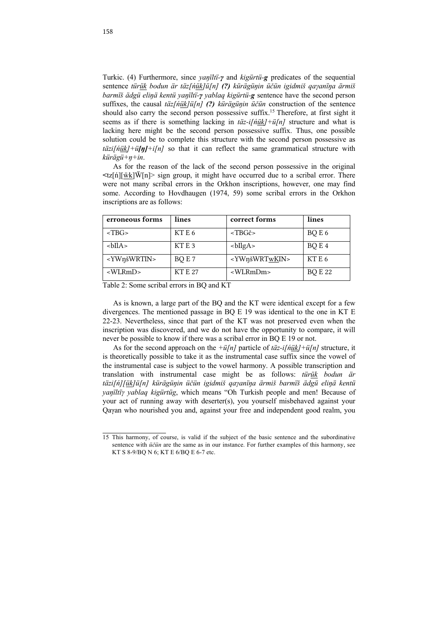Turkic. (4) Furthermore, since *yaŋïltï-γ* and *kigürtü-g* predicates of the sequential sentence *türük bodun är täz[ńük]ü[n] (?) kürägüŋin üčün igidmiš qaγanïŋa ärmiš barmïš ädgü eliŋä kentü yaŋïltï-γ yablaq kigürtü-g* sentence have the second person suffixes, the causal *täz[ńük]ü[n] (?) kürägüŋin üčün* construction of the sentence should also carry the second person possessive suffix. <sup>15</sup> Therefore, at first sight it seems as if there is something lacking in *täz-i[ńük]+ü[n]* structure and what is lacking here might be the second person possessive suffix. Thus, one possible solution could be to complete this structure with the second person possessive as  $\frac{t}{a}z[i/\frac{h}{u}k] + i\frac{f}{n}j/\sqrt{h}$  so that it can reflect the same grammatical structure with *kürägü+ŋ+in*.

As for the reason of the lack of the second person possessive in the original  $\leq$ tz[n][wk] $\ddot{W}$ [n]> sign group, it might have occurred due to a scribal error. There were not many scribal errors in the Orkhon inscriptions, however, one may find some. According to Hovdhaugen (1974, 59) some scribal errors in the Orkhon inscriptions are as follows:

| erroneous forms                | lines            | correct forms               | lines            |
|--------------------------------|------------------|-----------------------------|------------------|
| $<$ TBG>                       | KT E 6           | $<$ TBG $\check{c}$ >       | BQ E 6           |
| >bIIA                          | KTE <sub>3</sub> | $I$                         | BQ E 4           |
| <ywnšwrtin></ywnšwrtin>        | BQE7             | <ywnšwrtwkin></ywnšwrtwkin> | KTE <sub>6</sub> |
| $\langle \text{WLRmD} \rangle$ | <b>KT E 27</b>   | $\langle$ WLRmDm>           | <b>BQ E 22</b>   |

Table 2: Some scribal errors in BQ and KT

As is known, a large part of the BQ and the KT were identical except for a few divergences. The mentioned passage in BQ E 19 was identical to the one in KT E 22-23. Nevertheless, since that part of the KT was not preserved even when the inscription was discovered, and we do not have the opportunity to compare, it will never be possible to know if there was a scribal error in BQ E 19 or not.

As for the second approach on the *+ü[n]* particle of *täz-i[ńük]+ü[n]* structure, it is theoretically possible to take it as the instrumental case suffix since the vowel of the instrumental case is subject to the vowel harmony. A possible transcription and translation with instrumental case might be as follows: *türük bodun är täzi[ń][ük]ü[n] kürägüŋin üčün igidmiš qaγanïŋa ärmiš barmïš ädgü eliŋä kentü yaŋïltïγ yablaq kigürtüg*, which means "Oh Turkish people and men! Because of your act of running away with deserter(s), you yourself misbehaved against your Qaγan who nourished you and, against your free and independent good realm, you

<sup>15</sup> This harmony, of course, is valid if the subject of the basic sentence and the subordinative sentence with *üčün* are the same as in our instance. For further examples of this harmony, see KT S 8-9/BQ N 6; KT E 6/BQ E 6-7 etc.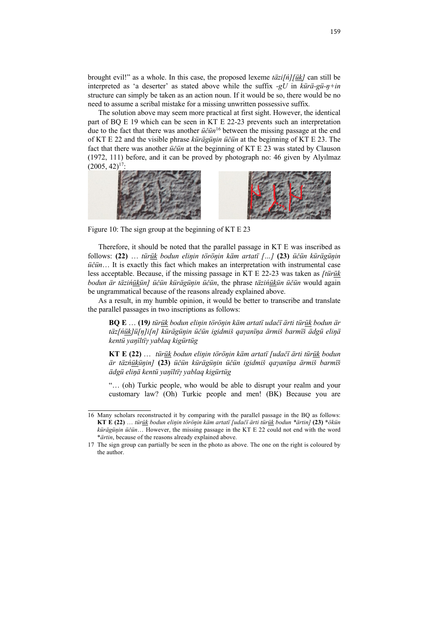brought evil!" as a whole. In this case, the proposed lexeme *täzi[ń][ük]* can still be interpreted as 'a deserter' as stated above while the suffix *-gU* in *kürä-gü-ŋ+in*  structure can simply be taken as an action noun. If it would be so, there would be no need to assume a scribal mistake for a missing unwritten possessive suffix*.*

The solution above may seem more practical at first sight. However, the identical part of BQ E 19 which can be seen in KT E 22-23 prevents such an interpretation due to the fact that there was another *üčün*<sup>16</sup> between the missing passage at the end of KT E 22 and the visible phrase *kürägüŋin üčün* at the beginning of KT E 23. The fact that there was another *üčün* at the beginning of KT E 23 was stated by Clauson (1972, 111) before, and it can be proved by photograph no: 46 given by Alyılmaz  $(2005, 42)^{17}$ :



Figure 10: The sign group at the beginning of KT E 23

Therefore, it should be noted that the parallel passage in KT E was inscribed as follows: **(22)** … *türük bodun eliŋin töröŋin käm artatï […]* **(23)** *üčün kürägüŋin üčün*… It is exactly this fact which makes an interpretation with instrumental case less acceptable. Because, if the missing passage in KT E 22-23 was taken as *[türük bodun är täzińükün] üčün kürägüŋin üčün*, the phrase *täzińükün üčün* would again be ungrammatical because of the reasons already explained above.

As a result, in my humble opinion, it would be better to transcribe and translate the parallel passages in two inscriptions as follows:

**BQ E** … **(19***) türük bodun eliŋin töröŋin käm artatï udačï ärti türük bodun är täz[ńük]ü[ŋ]i[n] kürägüŋin üčün igidmiš qaγanïŋa ärmiš barmïš ädgü eliŋä kentü yaŋïltïγ yablaq kigürtüg*

**KT E (22)** … *türük bodun eliŋin töröŋin käm artatï [udačï ärti türük bodun är täzńüküŋin]* **(23)** *üčün kürägüŋin üčün igidmiš qaγanïŋa ärmiš barmïš ädgü eliŋä kentü yaŋïltïγ yablaq kigürtüg*

"… (oh) Turkic people, who would be able to disrupt your realm and your customary law? (Oh) Turkic people and men! (BK) Because you are

<sup>16</sup> Many scholars reconstructed it by comparing with the parallel passage in the BQ as follows: **KT E (22)** … *türük bodun eliŋin töröŋin käm artatï [udačï ärti türük bodun \*ärtin]* **(23) \****ökün kürägüŋin üčün*… However, the missing passage in the KT E 22 could not end with the word \**ärtin*, because of the reasons already explained above.

<sup>17</sup> The sign group can partially be seen in the photo as above. The one on the right is coloured by the author.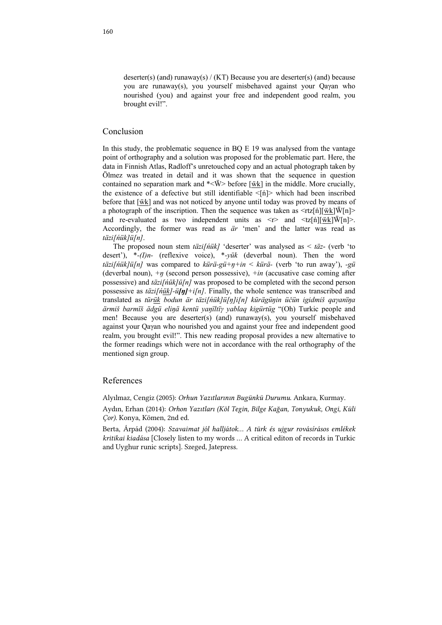deserter(s) (and) runaway(s) / (KT) Because you are deserter(s) (and) because you are runaway(s), you yourself misbehaved against your Qaγan who nourished (you) and against your free and independent good realm, you brought evil!".

### Conclusion

In this study, the problematic sequence in BQ E 19 was analysed from the vantage point of orthography and a solution was proposed for the problematic part. Here, the data in Finnish Atlas, Radloff's unretouched copy and an actual photograph taken by Ölmez was treated in detail and it was shown that the sequence in question contained no separation mark and  $\overline{*}$   $\langle \overline{W} \rangle$  before  $[\underline{w}k]$  in the middle. More crucially, the existence of a defective but still identifiable  $\langle \hat{n} \rangle$  which had been inscribed before that [ẅk] and was not noticed by anyone until today was proved by means of a photograph of the inscription. Then the sequence was taken as  $\langle \text{rtz}[n] | \hat{\text{w}} \rangle$ and re-evaluated as two independent units as  $\langle \cdot \rangle$  and  $\langle \cdot \rangle$  and  $\langle \cdot \rangle$   $\langle \cdot \rangle$ Accordingly, the former was read as *är* 'men' and the latter was read as *täzi[ńük]ü[n]*.

The proposed noun stem *täzi[ńük]* 'deserter' was analysed as < *täz*- (verb 'to desert'), \**-(I)n-* (reflexive voice), \**-yük* (deverbal noun). Then the word *täzi[ńük]ü[n]* was compared to *kürä-gü+ŋ+in* < *kürä-* (verb 'to run away'), *-gü*  (deverbal noun), *+ŋ* (second person possessive), *+in* (accusative case coming after possessive) and *täzi[ńük]ü[n]* was proposed to be completed with the second person possessive as *täzi[ńük]-ü[ŋ]+i[n]*. Finally, the whole sentence was transcribed and translated as *türük bodun är täzi[ńük]ü[ŋ]i[n] kürägüŋin üčün igidmiš qaγanïŋa ärmiš barmïš ädgü eliŋä kentü yaŋïltïγ yablaq kigürtüg* "(Oh) Turkic people and men! Because you are deserter(s) (and) runaway(s), you yourself misbehaved against your Qaγan who nourished you and against your free and independent good realm, you brought evil!". This new reading proposal provides a new alternative to the former readings which were not in accordance with the real orthography of the mentioned sign group.

### References

Alyılmaz, Cengiz (2005): *Orhun Yazıtlarının Bugünkü Durumu*. Ankara, Kurmay.

Aydın, Erhan (2014): *Orhon Yazıtları (Köl Tegin, Bilge Ka*ğ*an, Tonyukuk, Ongi, Küli Çor)*. Konya, Kömen, 2nd ed.

Berta, Árpád (2004): *Szavaimat jól halljátok… A türk és ujgur rovásírásos emlékek kritikai kiadása* [Closely listen to my words … A critical editon of records in Turkic and Uyghur runic scripts]. Szeged, Jatepress.